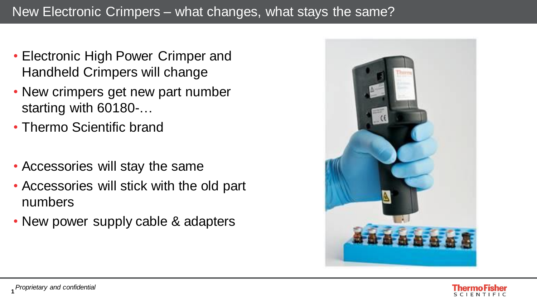- Electronic High Power Crimper and Handheld Crimpers will change
- New crimpers get new part number starting with 60180-…
- Thermo Scientific brand
- Accessories will stay the same
- Accessories will stick with the old part numbers
- New power supply cable & adapters



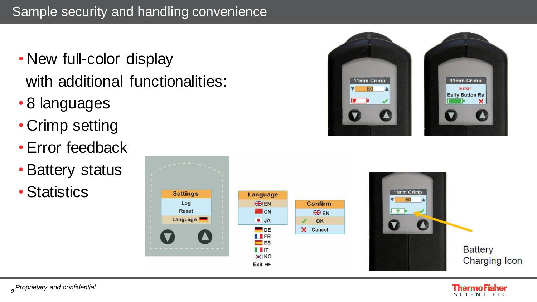- New full-color display with additional functionalities:
- 8 languages
- Crimp setting
- Error feedback
- Battery status
- Statistics





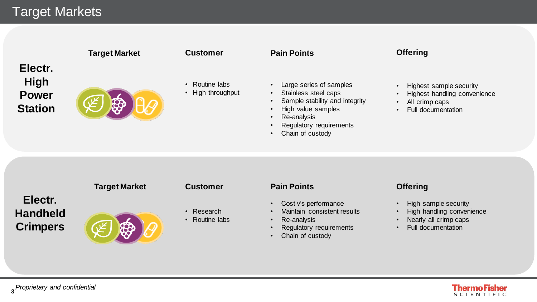# Target Markets

|                                                          | <b>Target Market</b> | <b>Customer</b>                     | <b>Pain Points</b>                                                                                                                                                |
|----------------------------------------------------------|----------------------|-------------------------------------|-------------------------------------------------------------------------------------------------------------------------------------------------------------------|
| Electr.<br><b>High</b><br><b>Power</b><br><b>Station</b> |                      | • Routine labs<br>• High throughput | Large serie<br>$\bullet$<br>Stainless s<br>$\bullet$<br>Sample sta<br>$\bullet$<br>High value<br>$\bullet$<br>Re-analysis<br>$\bullet$<br>Regulatory<br>$\bullet$ |

- eries of samples
- ss steel caps
- stability and integrity
- lue samples
- lysis
- Regulatory requirements
- Chain of custody

## **Offering**

- Highest sample security
- Highest handling convenience
- All crimp caps
- Full documentation

## **Electr. Handheld Crimpers**



## **Customer**

- 
- Research
- Routine labs

## **Target Market Customer Pain Points**

- Cost v's performance
- Maintain consistent results
- Re-analysis
- Regulatory requirements
- Chain of custody

## **Offering**

- High sample security
- High handling convenience
- Nearly all crimp caps
- Full documentation

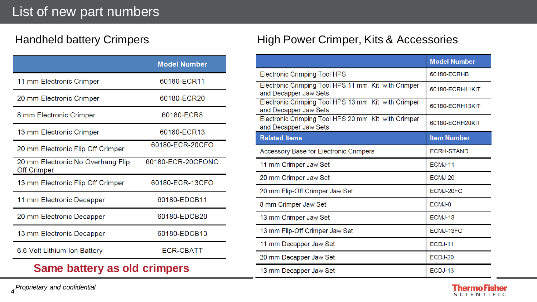|                                                         | <b>Model Number</b> |
|---------------------------------------------------------|---------------------|
| 11 mm Electronic Crimper                                | 60180-ECR11         |
| 20 mm Electronic Crimper                                | 60180-ECR20         |
| 8 mm Electronic Crimper                                 | 60180-ECR8          |
| 13 mm Electronic Crimper                                | 60180-ECR13         |
| 20 mm Electronic Flip Off Crimper                       | 60180-ECR-20CFO     |
| 20 mm Electronic No Overhang Flip<br><b>Off Crimper</b> | 60180-ECR-20CFONO   |
| 13 mm Electronic Flip Off Crimper                       | 60180-ECR-13CFO     |
| 11 mm Electronic Decapper                               | 60180-EDCB11        |
| 20 mm Electronic Decapper                               | 60180-EDCB20        |
| 13 mm Electronic Decapper                               | 60180-EDCB13        |
| 6.6 Volt Lithium Ion Battery                            | <b>ECR-CBATT</b>    |
| Same battery as old crimpers                            |                     |

## Handheld battery Crimpers **High Power Crimper, Kits & Accessories**

|                                                                              | <b>Model Number</b> |
|------------------------------------------------------------------------------|---------------------|
| <b>Electronic Crimping Tool HPS</b>                                          | 60180-ECRHB         |
| Electronic Crimping Tool HPS 11 mm Kit with Crimper<br>and Decapper Jaw Sets | 60180-ECRH11KIT     |
| Electronic Crimping Tool HPS 13 mm Kit with Crimper<br>and Decapper Jaw Sets | 60180-ECRH13KIT     |
| Electronic Crimping Tool HPS 20 mm Kit with Crimper<br>and Decapper Jaw Sets | 60180-ECRH20KIT     |
| <b>Related Items</b>                                                         | <b>Item Number</b>  |
| <b>Accessory Base for Electronic Crimpers</b>                                | <b>ECRH-STAND</b>   |
| 11 mm Crimper Jaw Set                                                        | ECMJ-11             |
| 20 mm Crimper Jaw Set                                                        | ECMJ-20             |
| 20 mm Flip-Off Crimper Jaw Set                                               | ECMJ-20FO           |
| 8 mm Crimper Jaw Set                                                         | ECMJ-8              |
| 13 mm Crimper Jaw Set                                                        | ECMJ-13             |
| 13 mm Flip-Off Crimper Jaw Set                                               | ECMJ-13FO           |
| 11 mm Decapper Jaw Set                                                       | ECDJ-11             |
| 20 mm Decapper Jaw Set                                                       | ECDJ-20             |
| 13 mm Decapper Jaw Set                                                       | ECDJ-13             |



**4** *Proprietary and confidential*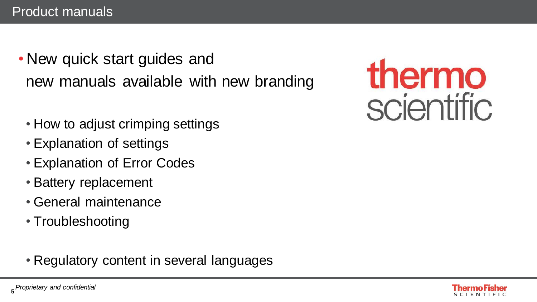- New quick start guides and new manuals available with new branding
	- How to adjust crimping settings
	- Explanation of settings
	- Explanation of Error Codes
	- Battery replacement
	- General maintenance
	- Troubleshooting
	- Regulatory content in several languages